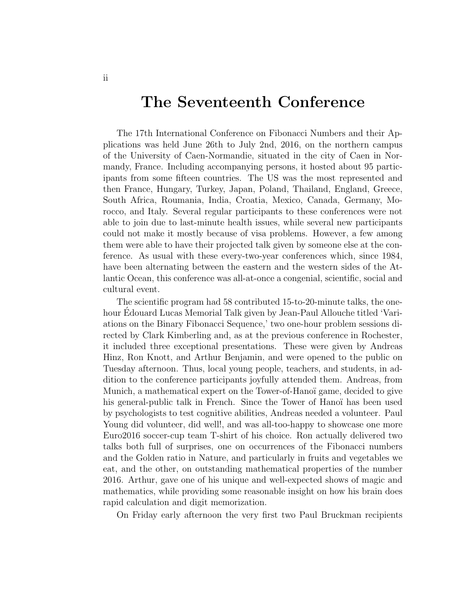## The Seventeenth Conference

The 17th International Conference on Fibonacci Numbers and their Applications was held June 26th to July 2nd, 2016, on the northern campus of the University of Caen-Normandie, situated in the city of Caen in Normandy, France. Including accompanying persons, it hosted about 95 participants from some fifteen countries. The US was the most represented and then France, Hungary, Turkey, Japan, Poland, Thailand, England, Greece, South Africa, Roumania, India, Croatia, Mexico, Canada, Germany, Morocco, and Italy. Several regular participants to these conferences were not able to join due to last-minute health issues, while several new participants could not make it mostly because of visa problems. However, a few among them were able to have their projected talk given by someone else at the conference. As usual with these every-two-year conferences which, since 1984, have been alternating between the eastern and the western sides of the Atlantic Ocean, this conference was all-at-once a congenial, scientific, social and cultural event.

The scientific program had 58 contributed 15-to-20-minute talks, the onehour Edouard Lucas Memorial Talk given by Jean-Paul Allouche titled 'Vari- ´ ations on the Binary Fibonacci Sequence,' two one-hour problem sessions directed by Clark Kimberling and, as at the previous conference in Rochester, it included three exceptional presentations. These were given by Andreas Hinz, Ron Knott, and Arthur Benjamin, and were opened to the public on Tuesday afternoon. Thus, local young people, teachers, and students, in addition to the conference participants joyfully attended them. Andreas, from Munich, a mathematical expert on the Tower-of-Hanoï game, decided to give his general-public talk in French. Since the Tower of Hanoï has been used by psychologists to test cognitive abilities, Andreas needed a volunteer. Paul Young did volunteer, did well!, and was all-too-happy to showcase one more Euro2016 soccer-cup team T-shirt of his choice. Ron actually delivered two talks both full of surprises, one on occurrences of the Fibonacci numbers and the Golden ratio in Nature, and particularly in fruits and vegetables we eat, and the other, on outstanding mathematical properties of the number 2016. Arthur, gave one of his unique and well-expected shows of magic and mathematics, while providing some reasonable insight on how his brain does rapid calculation and digit memorization.

On Friday early afternoon the very first two Paul Bruckman recipients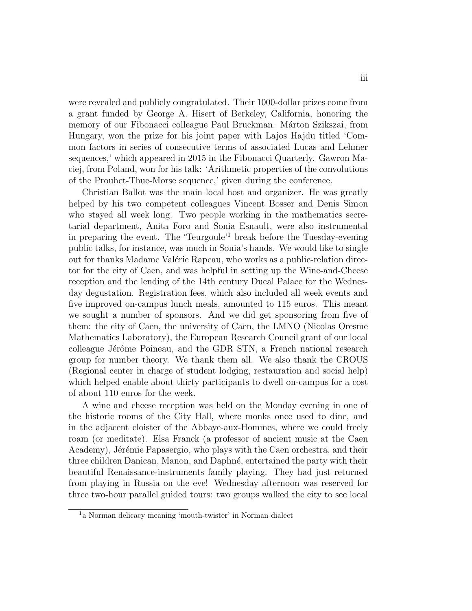were revealed and publicly congratulated. Their 1000-dollar prizes come from a grant funded by George A. Hisert of Berkeley, California, honoring the memory of our Fibonacci colleague Paul Bruckman. Márton Szikszai, from Hungary, won the prize for his joint paper with Lajos Hajdu titled 'Common factors in series of consecutive terms of associated Lucas and Lehmer sequences,' which appeared in 2015 in the Fibonacci Quarterly. Gawron Maciej, from Poland, won for his talk: 'Arithmetic properties of the convolutions of the Prouhet-Thue-Morse sequence,' given during the conference.

Christian Ballot was the main local host and organizer. He was greatly helped by his two competent colleagues Vincent Bosser and Denis Simon who stayed all week long. Two people working in the mathematics secretarial department, Anita Foro and Sonia Esnault, were also instrumental in preparing the event. The 'Teurgoule'<sup>1</sup> break before the Tuesday-evening public talks, for instance, was much in Sonia's hands. We would like to single out for thanks Madame Valérie Rapeau, who works as a public-relation director for the city of Caen, and was helpful in setting up the Wine-and-Cheese reception and the lending of the 14th century Ducal Palace for the Wednesday degustation. Registration fees, which also included all week events and five improved on-campus lunch meals, amounted to 115 euros. This meant we sought a number of sponsors. And we did get sponsoring from five of them: the city of Caen, the university of Caen, the LMNO (Nicolas Oresme Mathematics Laboratory), the European Research Council grant of our local colleague Jérôme Poineau, and the GDR STN, a French national research group for number theory. We thank them all. We also thank the CROUS (Regional center in charge of student lodging, restauration and social help) which helped enable about thirty participants to dwell on-campus for a cost of about 110 euros for the week.

A wine and cheese reception was held on the Monday evening in one of the historic rooms of the City Hall, where monks once used to dine, and in the adjacent cloister of the Abbaye-aux-Hommes, where we could freely roam (or meditate). Elsa Franck (a professor of ancient music at the Caen Academy), Jérémie Papasergio, who plays with the Caen orchestra, and their three children Danican, Manon, and Daphn´e, entertained the party with their beautiful Renaissance-instruments family playing. They had just returned from playing in Russia on the eve! Wednesday afternoon was reserved for three two-hour parallel guided tours: two groups walked the city to see local

<sup>1</sup>a Norman delicacy meaning 'mouth-twister' in Norman dialect